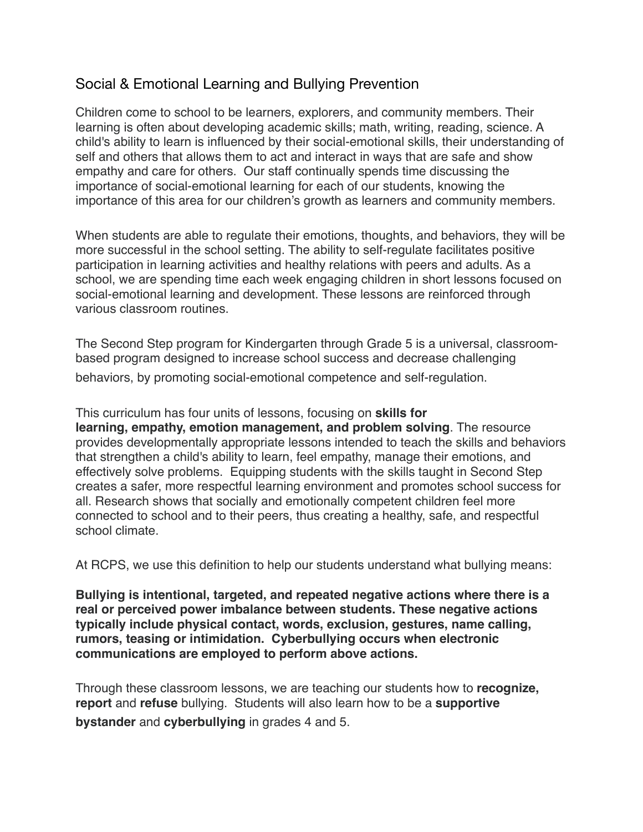## Social & Emotional Learning and Bullying Prevention

Children come to school to be learners, explorers, and community members. Their learning is often about developing academic skills; math, writing, reading, science. A child's ability to learn is influenced by their social-emotional skills, their understanding of self and others that allows them to act and interact in ways that are safe and show empathy and care for others. Our staff continually spends time discussing the importance of social-emotional learning for each of our students, knowing the importance of this area for our children's growth as learners and community members.

When students are able to regulate their emotions, thoughts, and behaviors, they will be more successful in the school setting. The ability to self-regulate facilitates positive participation in learning activities and healthy relations with peers and adults. As a school, we are spending time each week engaging children in short lessons focused on social-emotional learning and development. These lessons are reinforced through various classroom routines.

The Second Step program for Kindergarten through Grade 5 is a universal, classroombased program designed to increase school success and decrease challenging behaviors, by promoting social-emotional competence and self-regulation.

This curriculum has four units of lessons, focusing on **skills for** 

**learning, empathy, emotion management, and problem solving**. The resource provides developmentally appropriate lessons intended to teach the skills and behaviors that strengthen a child's ability to learn, feel empathy, manage their emotions, and effectively solve problems. Equipping students with the skills taught in Second Step creates a safer, more respectful learning environment and promotes school success for all. Research shows that socially and emotionally competent children feel more connected to school and to their peers, thus creating a healthy, safe, and respectful school climate.

At RCPS, we use this definition to help our students understand what bullying means:

**Bullying is intentional, targeted, and repeated negative actions where there is a real or perceived power imbalance between students. These negative actions typically include physical contact, words, exclusion, gestures, name calling, rumors, teasing or intimidation. Cyberbullying occurs when electronic communications are employed to perform above actions.**

Through these classroom lessons, we are teaching our students how to **recognize, report** and **refuse** bullying. Students will also learn how to be a **supportive bystander** and **cyberbullying** in grades 4 and 5.